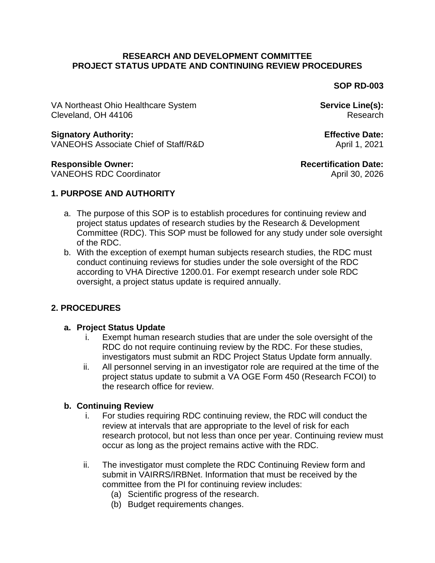#### **RESEARCH AND DEVELOPMENT COMMITTEE PROJECT STATUS UPDATE AND CONTINUING REVIEW PROCEDURES**

**SOP RD-003**

VA Northeast Ohio Healthcare System **Service Line(s):** Service Line(s): Cleveland, OH 44106 Research

#### **Signatory Authority: Effective Date:**

VANEOHS Associate Chief of Staff/R&D April 1, 2021

#### **Responsible Owner: Recertification Date:**

VANEOHS RDC Coordinator **April 30, 2026** 

## **1. PURPOSE AND AUTHORITY**

- a. The purpose of this SOP is to establish procedures for continuing review and project status updates of research studies by the Research & Development Committee (RDC). This SOP must be followed for any study under sole oversight of the RDC.
- b. With the exception of exempt human subjects research studies, the RDC must conduct continuing reviews for studies under the sole oversight of the RDC according to VHA Directive 1200.01. For exempt research under sole RDC oversight, a project status update is required annually.

# **2. PROCEDURES**

### **a. Project Status Update**

- i. Exempt human research studies that are under the sole oversight of the RDC do not require continuing review by the RDC. For these studies, investigators must submit an RDC Project Status Update form annually.
- ii. All personnel serving in an investigator role are required at the time of the project status update to submit a VA OGE Form 450 (Research FCOI) to the research office for review.

### **b. Continuing Review**

- i. For studies requiring RDC continuing review, the RDC will conduct the review at intervals that are appropriate to the level of risk for each research protocol, but not less than once per year. Continuing review must occur as long as the project remains active with the RDC.
- ii. The investigator must complete the RDC Continuing Review form and submit in VAIRRS/IRBNet. Information that must be received by the committee from the PI for continuing review includes:
	- (a) Scientific progress of the research.
	- (b) Budget requirements changes.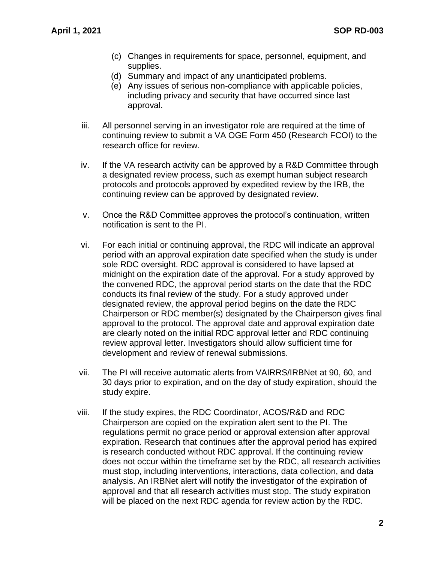- (c) Changes in requirements for space, personnel, equipment, and supplies.
- (d) Summary and impact of any unanticipated problems.
- (e) Any issues of serious non-compliance with applicable policies, including privacy and security that have occurred since last approval.
- iii. All personnel serving in an investigator role are required at the time of continuing review to submit a VA OGE Form 450 (Research FCOI) to the research office for review.
- iv. If the VA research activity can be approved by a R&D Committee through a designated review process, such as exempt human subject research protocols and protocols approved by expedited review by the IRB, the continuing review can be approved by designated review.
- v. Once the R&D Committee approves the protocol's continuation, written notification is sent to the PI.
- vi. For each initial or continuing approval, the RDC will indicate an approval period with an approval expiration date specified when the study is under sole RDC oversight. RDC approval is considered to have lapsed at midnight on the expiration date of the approval. For a study approved by the convened RDC, the approval period starts on the date that the RDC conducts its final review of the study. For a study approved under designated review, the approval period begins on the date the RDC Chairperson or RDC member(s) designated by the Chairperson gives final approval to the protocol. The approval date and approval expiration date are clearly noted on the initial RDC approval letter and RDC continuing review approval letter. Investigators should allow sufficient time for development and review of renewal submissions.
- vii. The PI will receive automatic alerts from VAIRRS/IRBNet at 90, 60, and 30 days prior to expiration, and on the day of study expiration, should the study expire.
- viii. If the study expires, the RDC Coordinator, ACOS/R&D and RDC Chairperson are copied on the expiration alert sent to the PI. The regulations permit no grace period or approval extension after approval expiration. Research that continues after the approval period has expired is research conducted without RDC approval. If the continuing review does not occur within the timeframe set by the RDC, all research activities must stop, including interventions, interactions, data collection, and data analysis. An IRBNet alert will notify the investigator of the expiration of approval and that all research activities must stop. The study expiration will be placed on the next RDC agenda for review action by the RDC.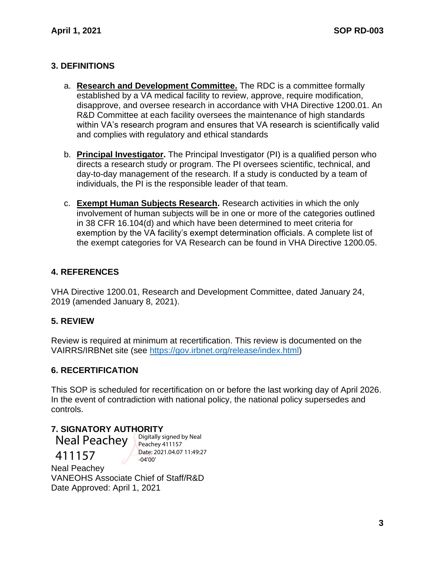## **3. DEFINITIONS**

- a. **Research and Development Committee.** The RDC is a committee formally established by a VA medical facility to review, approve, require modification, disapprove, and oversee research in accordance with VHA Directive 1200.01. An R&D Committee at each facility oversees the maintenance of high standards within VA's research program and ensures that VA research is scientifically valid and complies with regulatory and ethical standards
- b. **Principal Investigator.** The Principal Investigator (PI) is a qualified person who directs a research study or program. The PI oversees scientific, technical, and day-to-day management of the research. If a study is conducted by a team of individuals, the PI is the responsible leader of that team.
- c. **Exempt Human Subjects Research.** Research activities in which the only involvement of human subjects will be in one or more of the categories outlined in 38 CFR 16.104(d) and which have been determined to meet criteria for exemption by the VA facility's exempt determination officials. A complete list of the exempt categories for VA Research can be found in VHA Directive 1200.05.

## **4. REFERENCES**

VHA Directive 1200.01, Research and Development Committee, dated January 24, 2019 (amended January 8, 2021).

### **5. REVIEW**

Review is required at minimum at recertification. This review is documented on the VAIRRS/IRBNet site (see [https://gov.irbnet.org/release/index.html\)](https://gov.irbnet.org/release/index.html)

### **6. RECERTIFICATION**

This SOP is scheduled for recertification on or before the last working day of April 2026. In the event of contradiction with national policy, the national policy supersedes and controls.

# **7. SIGNATORY AUTHORITY**

Neal Peachey 411157

Digitally signed by Neal Peachey 411157 Date: 2021.04.07 11:49:27 -04'00'

Neal Peachey VANEOHS Associate Chief of Staff/R&D Date Approved: April 1, 2021